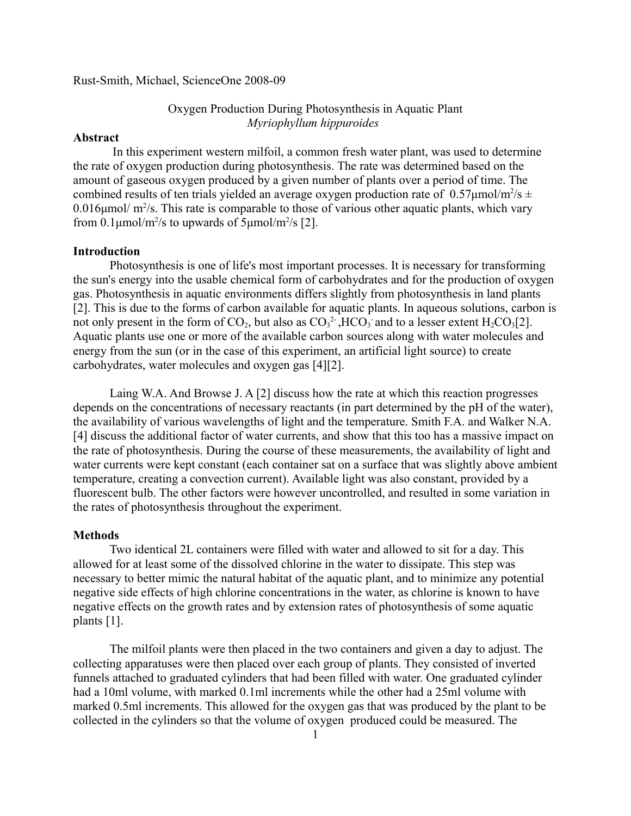Rust-Smith, Michael, ScienceOne 2008-09

# Oxygen Production During Photosynthesis in Aquatic Plant *Myriophyllum hippuroides*

### **Abstract**

 In this experiment western milfoil, a common fresh water plant, was used to determine the rate of oxygen production during photosynthesis. The rate was determined based on the amount of gaseous oxygen produced by a given number of plants over a period of time. The combined results of ten trials yielded an average oxygen production rate of  $0.57 \mu$ mol/m<sup>2</sup>/s  $\pm$  $0.016 \mu$ mol/ m<sup>2</sup>/s. This rate is comparable to those of various other aquatic plants, which vary from 0.1 $\mu$ mol/m<sup>2</sup>/s to upwards of 5 $\mu$ mol/m<sup>2</sup>/s [2].

## **Introduction**

Photosynthesis is one of life's most important processes. It is necessary for transforming the sun's energy into the usable chemical form of carbohydrates and for the production of oxygen gas. Photosynthesis in aquatic environments differs slightly from photosynthesis in land plants [2]. This is due to the forms of carbon available for aquatic plants. In aqueous solutions, carbon is not only present in the form of  $CO_2$ , but also as  $CO_3^2$ , HCO<sub>3</sub> and to a lesser extent H<sub>2</sub>CO<sub>3</sub>[2]. Aquatic plants use one or more of the available carbon sources along with water molecules and energy from the sun (or in the case of this experiment, an artificial light source) to create carbohydrates, water molecules and oxygen gas [4][2].

Laing W.A. And Browse J. A [2] discuss how the rate at which this reaction progresses depends on the concentrations of necessary reactants (in part determined by the pH of the water), the availability of various wavelengths of light and the temperature. Smith F.A. and Walker N.A. [4] discuss the additional factor of water currents, and show that this too has a massive impact on the rate of photosynthesis. During the course of these measurements, the availability of light and water currents were kept constant (each container sat on a surface that was slightly above ambient temperature, creating a convection current). Available light was also constant, provided by a fluorescent bulb. The other factors were however uncontrolled, and resulted in some variation in the rates of photosynthesis throughout the experiment.

### **Methods**

Two identical 2L containers were filled with water and allowed to sit for a day. This allowed for at least some of the dissolved chlorine in the water to dissipate. This step was necessary to better mimic the natural habitat of the aquatic plant, and to minimize any potential negative side effects of high chlorine concentrations in the water, as chlorine is known to have negative effects on the growth rates and by extension rates of photosynthesis of some aquatic plants [1].

The milfoil plants were then placed in the two containers and given a day to adjust. The collecting apparatuses were then placed over each group of plants. They consisted of inverted funnels attached to graduated cylinders that had been filled with water. One graduated cylinder had a 10ml volume, with marked 0.1ml increments while the other had a 25ml volume with marked 0.5ml increments. This allowed for the oxygen gas that was produced by the plant to be collected in the cylinders so that the volume of oxygen produced could be measured. The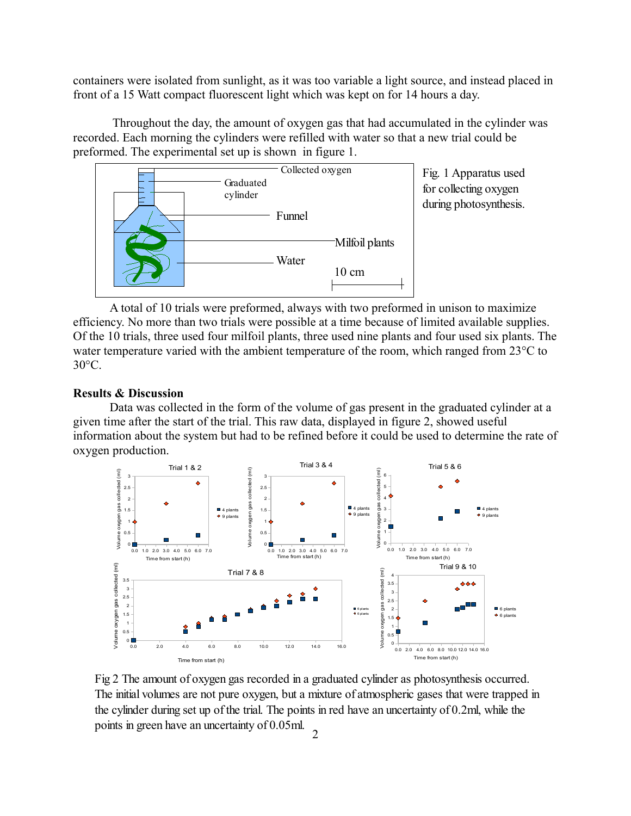containers were isolated from sunlight, as it was too variable a light source, and instead placed in front of a 15 Watt compact fluorescent light which was kept on for 14 hours a day.

 Throughout the day, the amount of oxygen gas that had accumulated in the cylinder was recorded. Each morning the cylinders were refilled with water so that a new trial could be preformed. The experimental set up is shown in figure 1.



Fig. 1 Apparatus used for collecting oxygen during photosynthesis.

A total of 10 trials were preformed, always with two preformed in unison to maximize efficiency. No more than two trials were possible at a time because of limited available supplies. Of the 10 trials, three used four milfoil plants, three used nine plants and four used six plants. The water temperature varied with the ambient temperature of the room, which ranged from 23<sup>o</sup>C to  $30^{\circ}$ C.

## **Results & Discussion**

Data was collected in the form of the volume of gas present in the graduated cylinder at a given time after the start of the trial. This raw data, displayed in figure 2, showed useful information about the system but had to be refined before it could be used to determine the rate of oxygen production.



Fig 2 The amount of oxygen gas recorded in a graduated cylinder as photosynthesis occurred. The initial volumes are not pure oxygen, but a mixture of atmospheric gases that were trapped in the cylinder during set up of the trial. The points in red have an uncertainty of 0.2ml, while the points in green have an uncertainty of 0.05ml.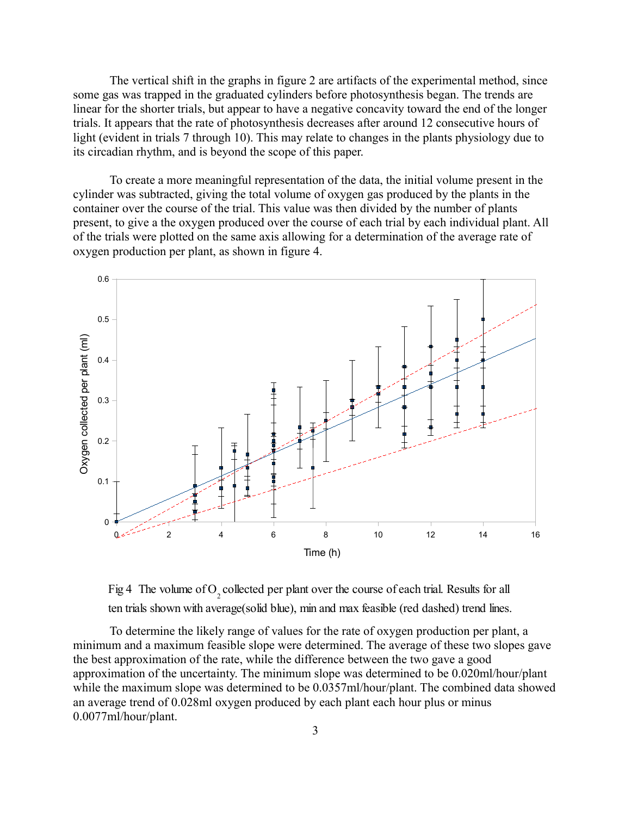The vertical shift in the graphs in figure 2 are artifacts of the experimental method, since some gas was trapped in the graduated cylinders before photosynthesis began. The trends are linear for the shorter trials, but appear to have a negative concavity toward the end of the longer trials. It appears that the rate of photosynthesis decreases after around 12 consecutive hours of light (evident in trials 7 through 10). This may relate to changes in the plants physiology due to its circadian rhythm, and is beyond the scope of this paper.

To create a more meaningful representation of the data, the initial volume present in the cylinder was subtracted, giving the total volume of oxygen gas produced by the plants in the container over the course of the trial. This value was then divided by the number of plants present, to give a the oxygen produced over the course of each trial by each individual plant. All of the trials were plotted on the same axis allowing for a determination of the average rate of oxygen production per plant, as shown in figure 4.



Fig 4 The volume of O<sub>2</sub> collected per plant over the course of each trial. Results for all ten trials shown with average(solid blue), min and max feasible (red dashed) trend lines.

To determine the likely range of values for the rate of oxygen production per plant, a minimum and a maximum feasible slope were determined. The average of these two slopes gave the best approximation of the rate, while the difference between the two gave a good approximation of the uncertainty. The minimum slope was determined to be 0.020ml/hour/plant while the maximum slope was determined to be 0.0357ml/hour/plant. The combined data showed an average trend of 0.028ml oxygen produced by each plant each hour plus or minus 0.0077ml/hour/plant.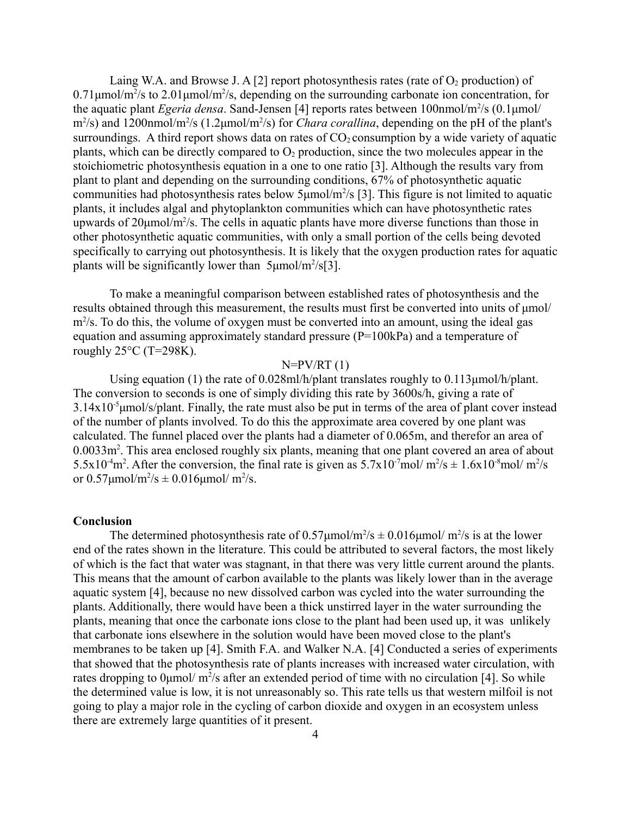Laing W.A. and Browse J. A [2] report photosynthesis rates (rate of  $O<sub>2</sub>$  production) of  $0.71 \mu$ mol/m<sup>2</sup>/s to  $2.01 \mu$ mol/m<sup>2</sup>/s, depending on the surrounding carbonate ion concentration, for the aquatic plant *Egeria densa*. Sand-Jensen [4] reports rates between 100nmol/m<sup>2</sup>/s (0.1μmol/ m<sup>2</sup>/s) and 1200nmol/m<sup>2</sup>/s (1.2μmol/m<sup>2</sup>/s) for *Chara corallina*, depending on the pH of the plant's surroundings. A third report shows data on rates of  $CO<sub>2</sub>$  consumption by a wide variety of aquatic plants, which can be directly compared to  $O_2$  production, since the two molecules appear in the stoichiometric photosynthesis equation in a one to one ratio [3]. Although the results vary from plant to plant and depending on the surrounding conditions, 67% of photosynthetic aquatic communities had photosynthesis rates below  $5\mu$ mol/m<sup>2</sup>/s [3]. This figure is not limited to aquatic plants, it includes algal and phytoplankton communities which can have photosynthetic rates upwards of  $20 \mu \text{mol/m}^2/\text{s}$ . The cells in aquatic plants have more diverse functions than those in other photosynthetic aquatic communities, with only a small portion of the cells being devoted specifically to carrying out photosynthesis. It is likely that the oxygen production rates for aquatic plants will be significantly lower than  $5 \mu \text{mol/m}^2/\text{s} [3]$ .

To make a meaningful comparison between established rates of photosynthesis and the results obtained through this measurement, the results must first be converted into units of μmol/ m<sup>2</sup>/s. To do this, the volume of oxygen must be converted into an amount, using the ideal gas equation and assuming approximately standard pressure (P=100kPa) and a temperature of roughly  $25^{\circ}$ C (T=298K).

### $N=PV/RT(1)$

Using equation (1) the rate of 0.028ml/h/plant translates roughly to 0.113μmol/h/plant. The conversion to seconds is one of simply dividing this rate by 3600s/h, giving a rate of  $3.14x10^{-5}$ µmol/s/plant. Finally, the rate must also be put in terms of the area of plant cover instead of the number of plants involved. To do this the approximate area covered by one plant was calculated. The funnel placed over the plants had a diameter of 0.065m, and therefor an area of 0.0033m<sup>2</sup>. This area enclosed roughly six plants, meaning that one plant covered an area of about 5.5x10<sup>-4</sup>m<sup>2</sup>. After the conversion, the final rate is given as 5.7x10<sup>-7</sup>mol/ m<sup>2</sup>/s  $\pm$  1.6x10<sup>-8</sup>mol/ m<sup>2</sup>/s or  $0.57 \mu$ mol/m<sup>2</sup>/s  $\pm 0.016 \mu$ mol/ m<sup>2</sup>/s.

### **Conclusion**

The determined photosynthesis rate of  $0.57 \mu$ mol/m<sup>2</sup>/s  $\pm 0.016 \mu$ mol/m<sup>2</sup>/s is at the lower end of the rates shown in the literature. This could be attributed to several factors, the most likely of which is the fact that water was stagnant, in that there was very little current around the plants. This means that the amount of carbon available to the plants was likely lower than in the average aquatic system [4], because no new dissolved carbon was cycled into the water surrounding the plants. Additionally, there would have been a thick unstirred layer in the water surrounding the plants, meaning that once the carbonate ions close to the plant had been used up, it was unlikely that carbonate ions elsewhere in the solution would have been moved close to the plant's membranes to be taken up [4]. Smith F.A. and Walker N.A. [4] Conducted a series of experiments that showed that the photosynthesis rate of plants increases with increased water circulation, with rates dropping to  $0 \mu$ mol/ m<sup>2</sup>/s after an extended period of time with no circulation [4]. So while the determined value is low, it is not unreasonably so. This rate tells us that western milfoil is not going to play a major role in the cycling of carbon dioxide and oxygen in an ecosystem unless there are extremely large quantities of it present.